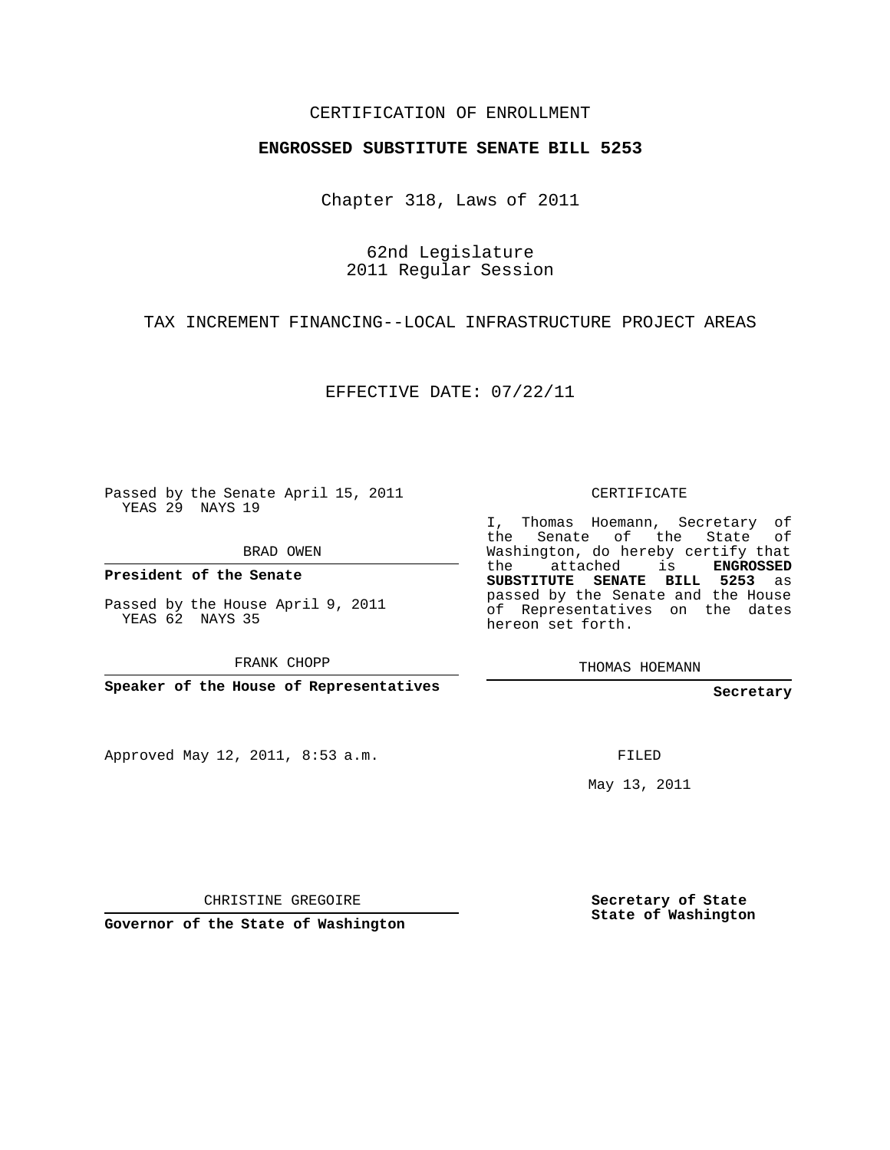## CERTIFICATION OF ENROLLMENT

#### **ENGROSSED SUBSTITUTE SENATE BILL 5253**

Chapter 318, Laws of 2011

62nd Legislature 2011 Regular Session

## TAX INCREMENT FINANCING--LOCAL INFRASTRUCTURE PROJECT AREAS

EFFECTIVE DATE: 07/22/11

Passed by the Senate April 15, 2011 YEAS 29 NAYS 19

BRAD OWEN

**President of the Senate**

Passed by the House April 9, 2011 YEAS 62 NAYS 35

FRANK CHOPP

**Speaker of the House of Representatives**

Approved May 12, 2011, 8:53 a.m.

CERTIFICATE

I, Thomas Hoemann, Secretary of the Senate of the State of Washington, do hereby certify that the attached is **ENGROSSED SUBSTITUTE SENATE BILL 5253** as passed by the Senate and the House of Representatives on the dates hereon set forth.

THOMAS HOEMANN

#### **Secretary**

FILED

May 13, 2011

CHRISTINE GREGOIRE

**Governor of the State of Washington**

**Secretary of State State of Washington**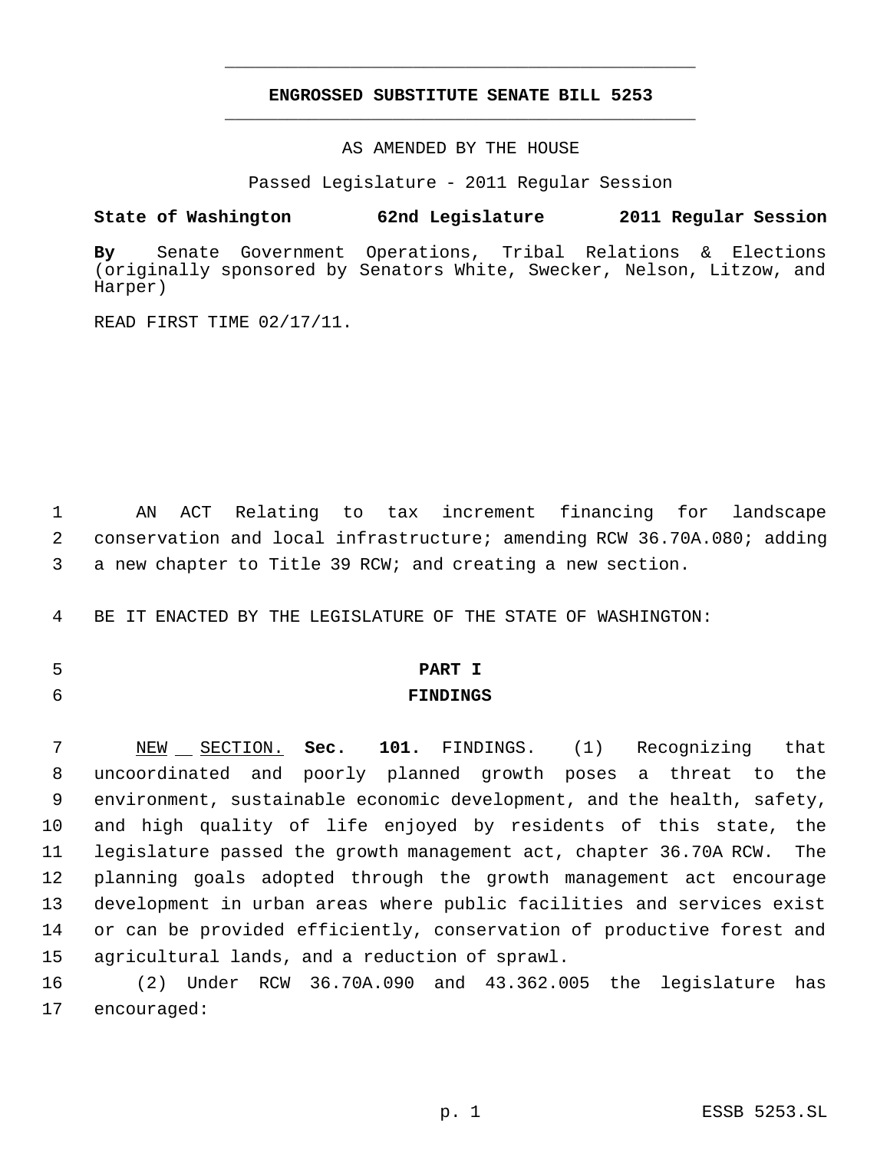## **ENGROSSED SUBSTITUTE SENATE BILL 5253** \_\_\_\_\_\_\_\_\_\_\_\_\_\_\_\_\_\_\_\_\_\_\_\_\_\_\_\_\_\_\_\_\_\_\_\_\_\_\_\_\_\_\_\_\_

\_\_\_\_\_\_\_\_\_\_\_\_\_\_\_\_\_\_\_\_\_\_\_\_\_\_\_\_\_\_\_\_\_\_\_\_\_\_\_\_\_\_\_\_\_

AS AMENDED BY THE HOUSE

Passed Legislature - 2011 Regular Session

**State of Washington 62nd Legislature 2011 Regular Session**

**By** Senate Government Operations, Tribal Relations & Elections (originally sponsored by Senators White, Swecker, Nelson, Litzow, and Harper)

READ FIRST TIME 02/17/11.

 1 AN ACT Relating to tax increment financing for landscape 2 conservation and local infrastructure; amending RCW 36.70A.080; adding 3 a new chapter to Title 39 RCW; and creating a new section.

4 BE IT ENACTED BY THE LEGISLATURE OF THE STATE OF WASHINGTON:

# 5 **PART I**

6 **FINDINGS**

7 NEW SECTION. Sec. 101. FINDINGS. (1) Recognizing that uncoordinated and poorly planned growth poses a threat to the environment, sustainable economic development, and the health, safety, and high quality of life enjoyed by residents of this state, the legislature passed the growth management act, chapter 36.70A RCW. The planning goals adopted through the growth management act encourage development in urban areas where public facilities and services exist or can be provided efficiently, conservation of productive forest and agricultural lands, and a reduction of sprawl.

16 (2) Under RCW 36.70A.090 and 43.362.005 the legislature has 17 encouraged: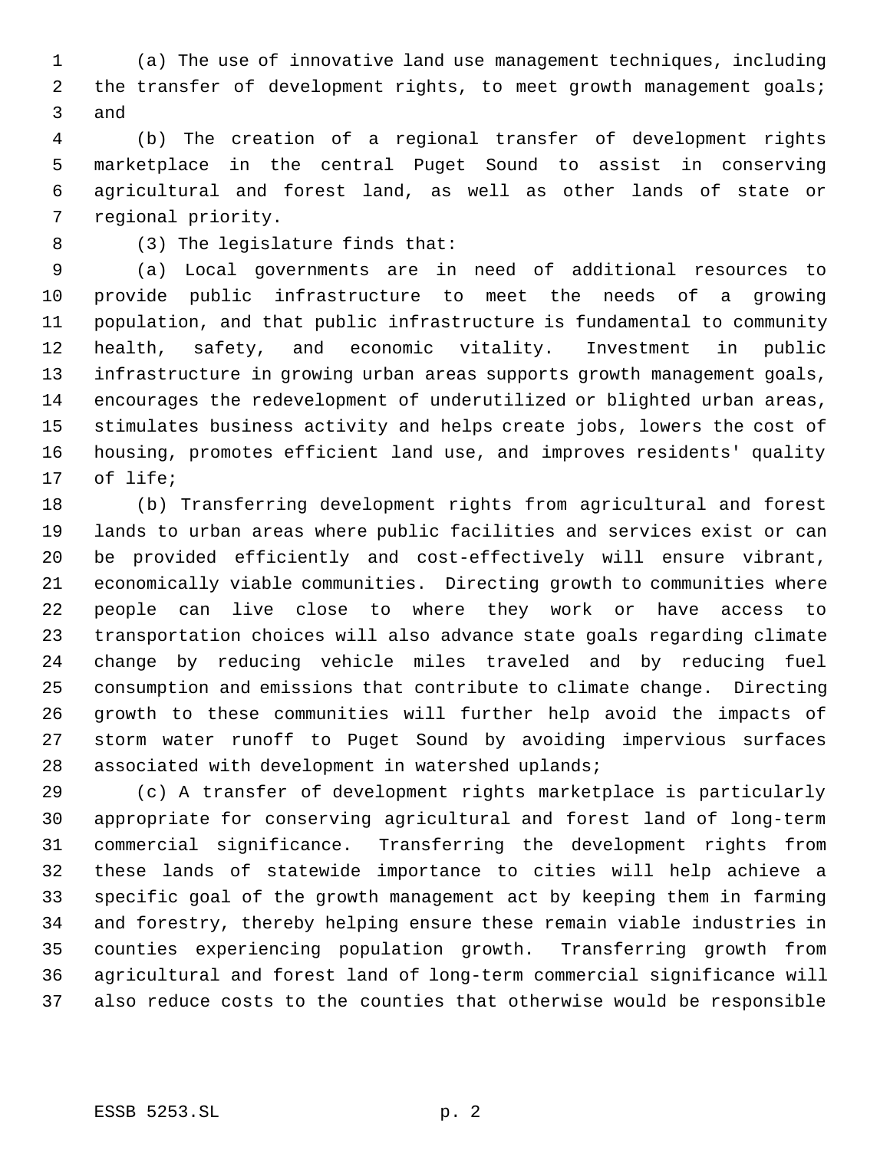(a) The use of innovative land use management techniques, including 2 the transfer of development rights, to meet growth management goals; and

 (b) The creation of a regional transfer of development rights marketplace in the central Puget Sound to assist in conserving agricultural and forest land, as well as other lands of state or regional priority.

(3) The legislature finds that:

 (a) Local governments are in need of additional resources to provide public infrastructure to meet the needs of a growing population, and that public infrastructure is fundamental to community health, safety, and economic vitality. Investment in public infrastructure in growing urban areas supports growth management goals, encourages the redevelopment of underutilized or blighted urban areas, stimulates business activity and helps create jobs, lowers the cost of housing, promotes efficient land use, and improves residents' quality of life;

 (b) Transferring development rights from agricultural and forest lands to urban areas where public facilities and services exist or can be provided efficiently and cost-effectively will ensure vibrant, economically viable communities. Directing growth to communities where people can live close to where they work or have access to transportation choices will also advance state goals regarding climate change by reducing vehicle miles traveled and by reducing fuel consumption and emissions that contribute to climate change. Directing growth to these communities will further help avoid the impacts of storm water runoff to Puget Sound by avoiding impervious surfaces associated with development in watershed uplands;

 (c) A transfer of development rights marketplace is particularly appropriate for conserving agricultural and forest land of long-term commercial significance. Transferring the development rights from these lands of statewide importance to cities will help achieve a specific goal of the growth management act by keeping them in farming and forestry, thereby helping ensure these remain viable industries in counties experiencing population growth. Transferring growth from agricultural and forest land of long-term commercial significance will also reduce costs to the counties that otherwise would be responsible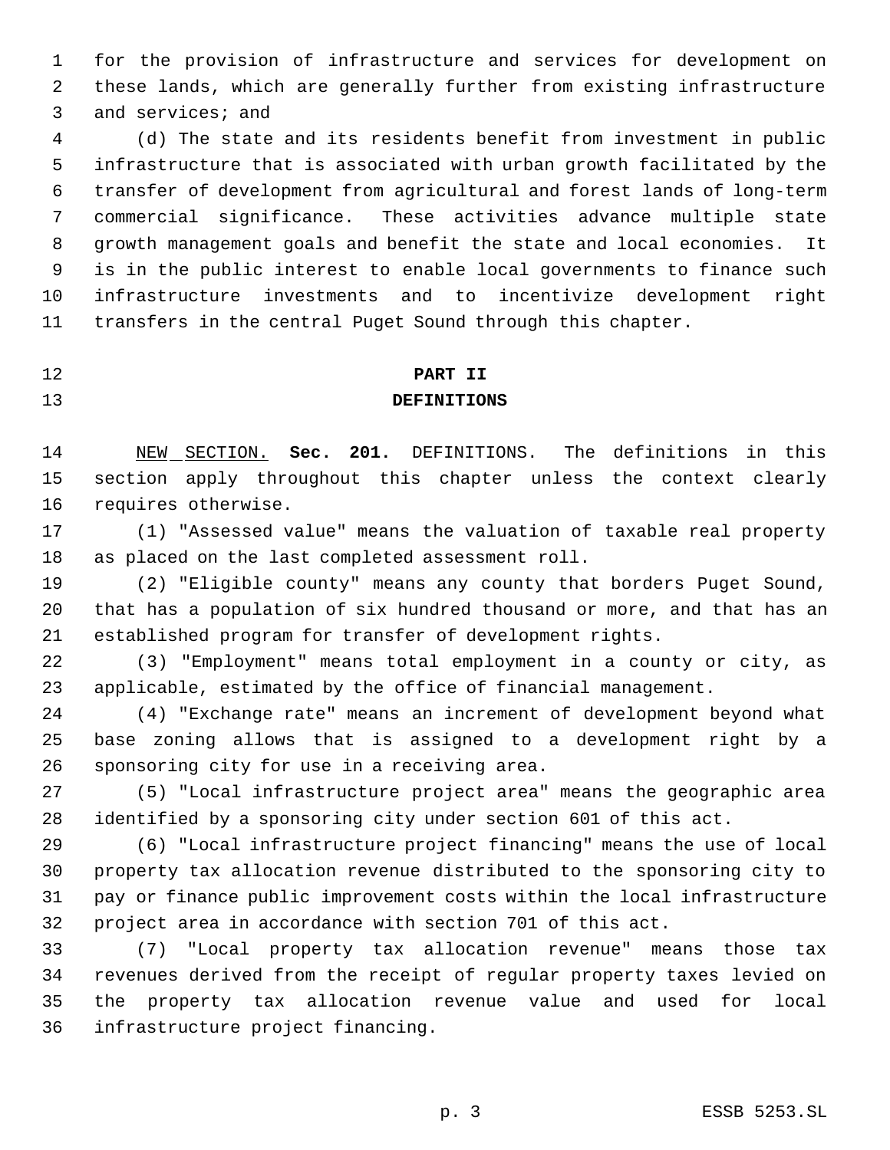for the provision of infrastructure and services for development on these lands, which are generally further from existing infrastructure and services; and

 (d) The state and its residents benefit from investment in public infrastructure that is associated with urban growth facilitated by the transfer of development from agricultural and forest lands of long-term commercial significance. These activities advance multiple state growth management goals and benefit the state and local economies. It is in the public interest to enable local governments to finance such infrastructure investments and to incentivize development right transfers in the central Puget Sound through this chapter.

# **PART II**

# **DEFINITIONS**

 NEW SECTION. **Sec. 201.** DEFINITIONS. The definitions in this section apply throughout this chapter unless the context clearly requires otherwise.

 (1) "Assessed value" means the valuation of taxable real property as placed on the last completed assessment roll.

 (2) "Eligible county" means any county that borders Puget Sound, that has a population of six hundred thousand or more, and that has an established program for transfer of development rights.

 (3) "Employment" means total employment in a county or city, as applicable, estimated by the office of financial management.

 (4) "Exchange rate" means an increment of development beyond what base zoning allows that is assigned to a development right by a sponsoring city for use in a receiving area.

 (5) "Local infrastructure project area" means the geographic area identified by a sponsoring city under section 601 of this act.

 (6) "Local infrastructure project financing" means the use of local property tax allocation revenue distributed to the sponsoring city to pay or finance public improvement costs within the local infrastructure project area in accordance with section 701 of this act.

 (7) "Local property tax allocation revenue" means those tax revenues derived from the receipt of regular property taxes levied on the property tax allocation revenue value and used for local infrastructure project financing.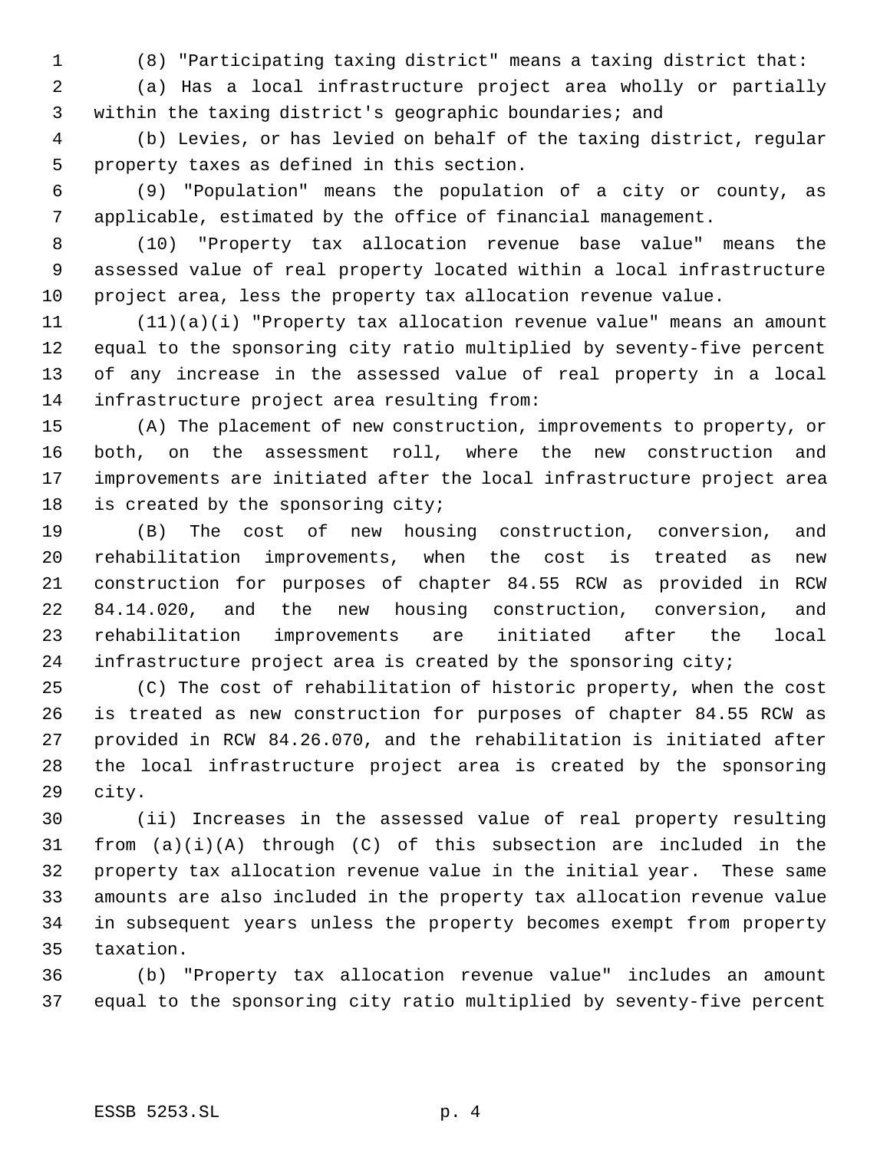(8) "Participating taxing district" means a taxing district that:

 (a) Has a local infrastructure project area wholly or partially within the taxing district's geographic boundaries; and

 (b) Levies, or has levied on behalf of the taxing district, regular property taxes as defined in this section.

 (9) "Population" means the population of a city or county, as applicable, estimated by the office of financial management.

 (10) "Property tax allocation revenue base value" means the assessed value of real property located within a local infrastructure project area, less the property tax allocation revenue value.

 (11)(a)(i) "Property tax allocation revenue value" means an amount equal to the sponsoring city ratio multiplied by seventy-five percent of any increase in the assessed value of real property in a local infrastructure project area resulting from:

 (A) The placement of new construction, improvements to property, or both, on the assessment roll, where the new construction and improvements are initiated after the local infrastructure project area is created by the sponsoring city;

 (B) The cost of new housing construction, conversion, and rehabilitation improvements, when the cost is treated as new construction for purposes of chapter 84.55 RCW as provided in RCW 84.14.020, and the new housing construction, conversion, and rehabilitation improvements are initiated after the local infrastructure project area is created by the sponsoring city;

 (C) The cost of rehabilitation of historic property, when the cost is treated as new construction for purposes of chapter 84.55 RCW as provided in RCW 84.26.070, and the rehabilitation is initiated after the local infrastructure project area is created by the sponsoring city.

 (ii) Increases in the assessed value of real property resulting from (a)(i)(A) through (C) of this subsection are included in the property tax allocation revenue value in the initial year. These same amounts are also included in the property tax allocation revenue value in subsequent years unless the property becomes exempt from property taxation.

 (b) "Property tax allocation revenue value" includes an amount equal to the sponsoring city ratio multiplied by seventy-five percent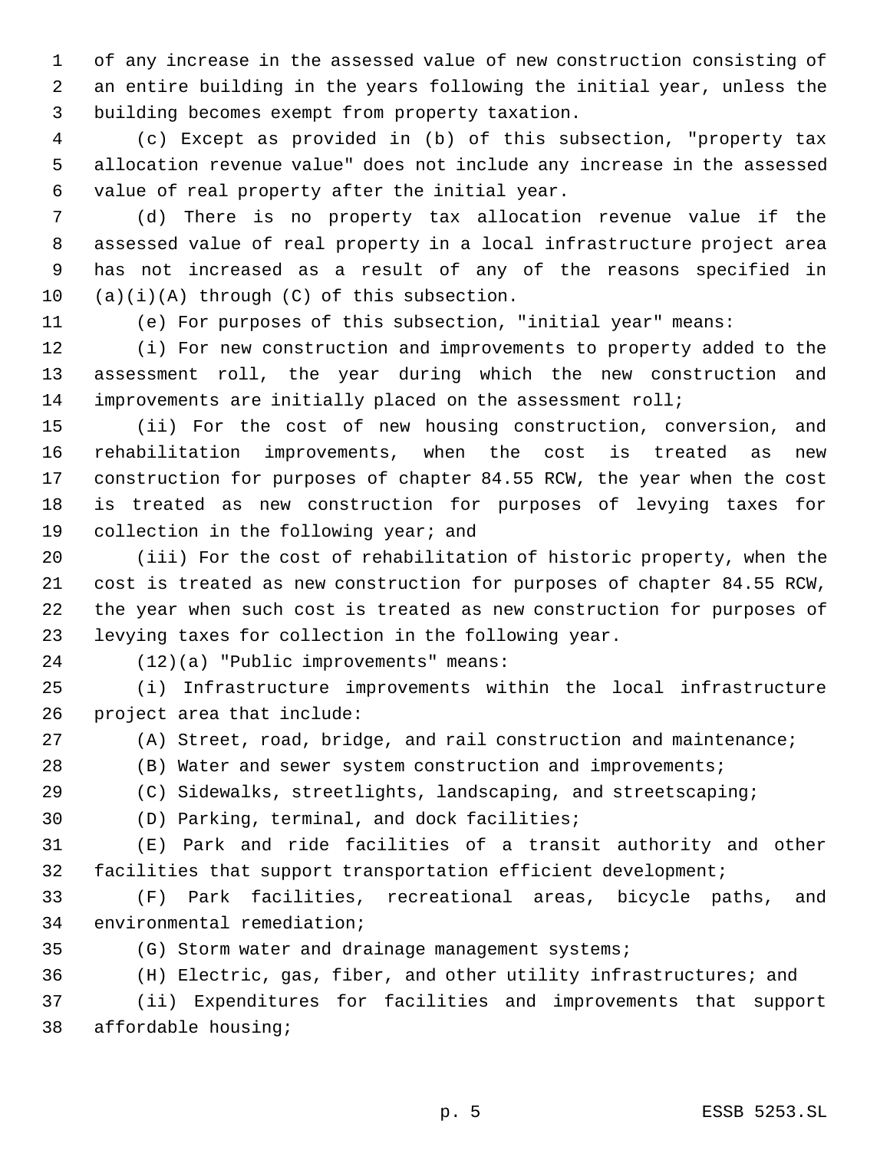of any increase in the assessed value of new construction consisting of an entire building in the years following the initial year, unless the building becomes exempt from property taxation.

 (c) Except as provided in (b) of this subsection, "property tax allocation revenue value" does not include any increase in the assessed value of real property after the initial year.

 (d) There is no property tax allocation revenue value if the assessed value of real property in a local infrastructure project area has not increased as a result of any of the reasons specified in (a)(i)(A) through (C) of this subsection.

(e) For purposes of this subsection, "initial year" means:

 (i) For new construction and improvements to property added to the assessment roll, the year during which the new construction and improvements are initially placed on the assessment roll;

 (ii) For the cost of new housing construction, conversion, and rehabilitation improvements, when the cost is treated as new construction for purposes of chapter 84.55 RCW, the year when the cost is treated as new construction for purposes of levying taxes for 19 collection in the following year; and

 (iii) For the cost of rehabilitation of historic property, when the cost is treated as new construction for purposes of chapter 84.55 RCW, the year when such cost is treated as new construction for purposes of levying taxes for collection in the following year.

(12)(a) "Public improvements" means:

 (i) Infrastructure improvements within the local infrastructure project area that include:

(A) Street, road, bridge, and rail construction and maintenance;

(B) Water and sewer system construction and improvements;

(C) Sidewalks, streetlights, landscaping, and streetscaping;

(D) Parking, terminal, and dock facilities;

 (E) Park and ride facilities of a transit authority and other facilities that support transportation efficient development;

 (F) Park facilities, recreational areas, bicycle paths, and environmental remediation;

(G) Storm water and drainage management systems;

(H) Electric, gas, fiber, and other utility infrastructures; and

 (ii) Expenditures for facilities and improvements that support affordable housing;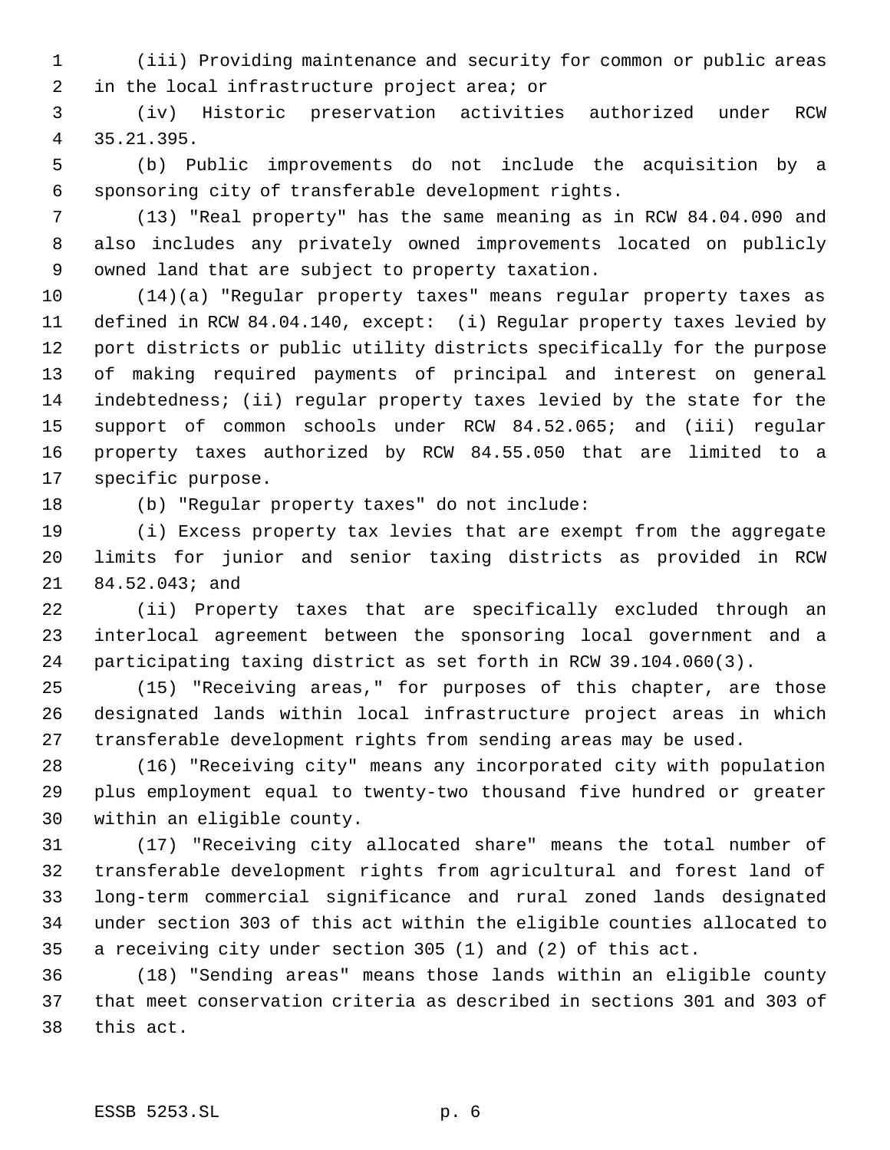(iii) Providing maintenance and security for common or public areas in the local infrastructure project area; or

 (iv) Historic preservation activities authorized under RCW 35.21.395.

 (b) Public improvements do not include the acquisition by a sponsoring city of transferable development rights.

 (13) "Real property" has the same meaning as in RCW 84.04.090 and also includes any privately owned improvements located on publicly owned land that are subject to property taxation.

 (14)(a) "Regular property taxes" means regular property taxes as defined in RCW 84.04.140, except: (i) Regular property taxes levied by port districts or public utility districts specifically for the purpose of making required payments of principal and interest on general indebtedness; (ii) regular property taxes levied by the state for the support of common schools under RCW 84.52.065; and (iii) regular property taxes authorized by RCW 84.55.050 that are limited to a specific purpose.

(b) "Regular property taxes" do not include:

 (i) Excess property tax levies that are exempt from the aggregate limits for junior and senior taxing districts as provided in RCW 84.52.043; and

 (ii) Property taxes that are specifically excluded through an interlocal agreement between the sponsoring local government and a participating taxing district as set forth in RCW 39.104.060(3).

 (15) "Receiving areas," for purposes of this chapter, are those designated lands within local infrastructure project areas in which transferable development rights from sending areas may be used.

 (16) "Receiving city" means any incorporated city with population plus employment equal to twenty-two thousand five hundred or greater within an eligible county.

 (17) "Receiving city allocated share" means the total number of transferable development rights from agricultural and forest land of long-term commercial significance and rural zoned lands designated under section 303 of this act within the eligible counties allocated to a receiving city under section 305 (1) and (2) of this act.

 (18) "Sending areas" means those lands within an eligible county that meet conservation criteria as described in sections 301 and 303 of this act.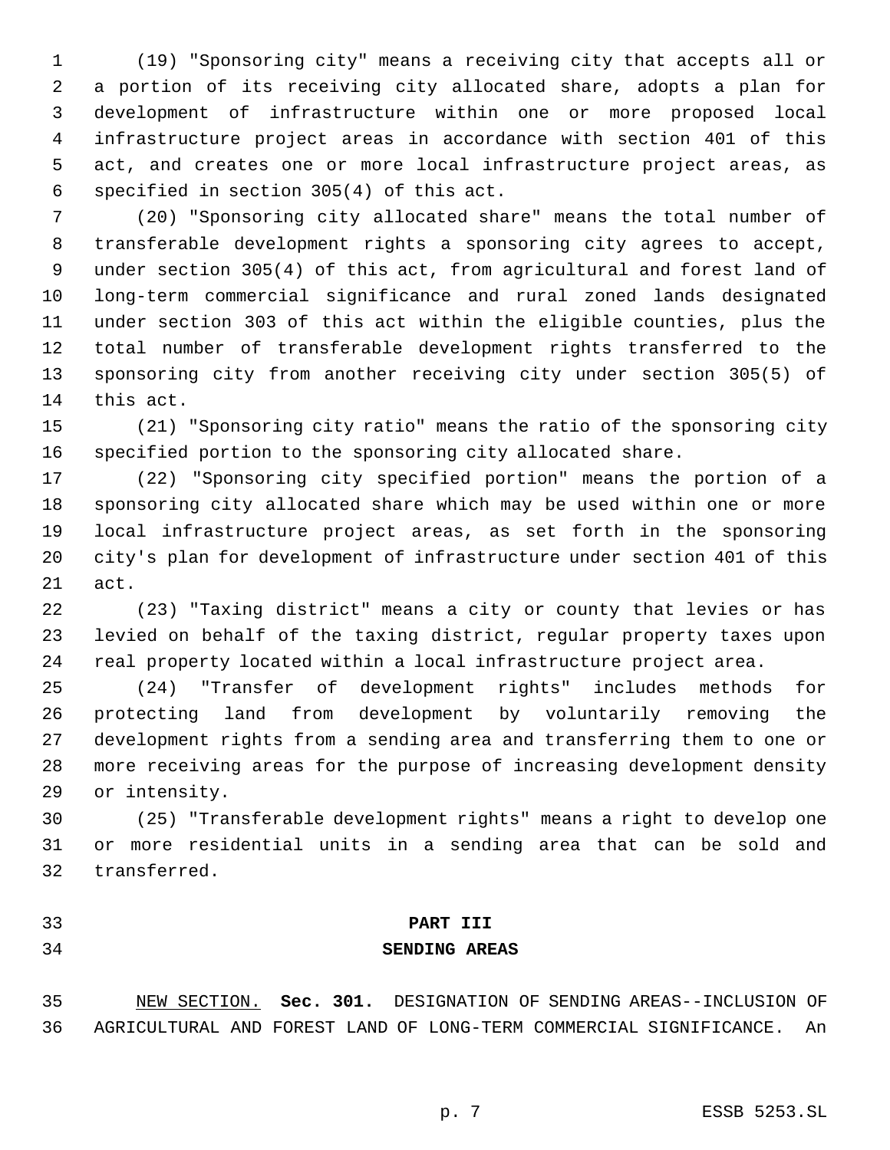(19) "Sponsoring city" means a receiving city that accepts all or a portion of its receiving city allocated share, adopts a plan for development of infrastructure within one or more proposed local infrastructure project areas in accordance with section 401 of this act, and creates one or more local infrastructure project areas, as specified in section 305(4) of this act.

 (20) "Sponsoring city allocated share" means the total number of transferable development rights a sponsoring city agrees to accept, under section 305(4) of this act, from agricultural and forest land of long-term commercial significance and rural zoned lands designated under section 303 of this act within the eligible counties, plus the total number of transferable development rights transferred to the sponsoring city from another receiving city under section 305(5) of this act.

 (21) "Sponsoring city ratio" means the ratio of the sponsoring city specified portion to the sponsoring city allocated share.

 (22) "Sponsoring city specified portion" means the portion of a sponsoring city allocated share which may be used within one or more local infrastructure project areas, as set forth in the sponsoring city's plan for development of infrastructure under section 401 of this act.

 (23) "Taxing district" means a city or county that levies or has levied on behalf of the taxing district, regular property taxes upon real property located within a local infrastructure project area.

 (24) "Transfer of development rights" includes methods for protecting land from development by voluntarily removing the development rights from a sending area and transferring them to one or more receiving areas for the purpose of increasing development density or intensity.

 (25) "Transferable development rights" means a right to develop one or more residential units in a sending area that can be sold and transferred.

- 
- 

# **PART III SENDING AREAS**

 NEW SECTION. **Sec. 301.** DESIGNATION OF SENDING AREAS--INCLUSION OF AGRICULTURAL AND FOREST LAND OF LONG-TERM COMMERCIAL SIGNIFICANCE. An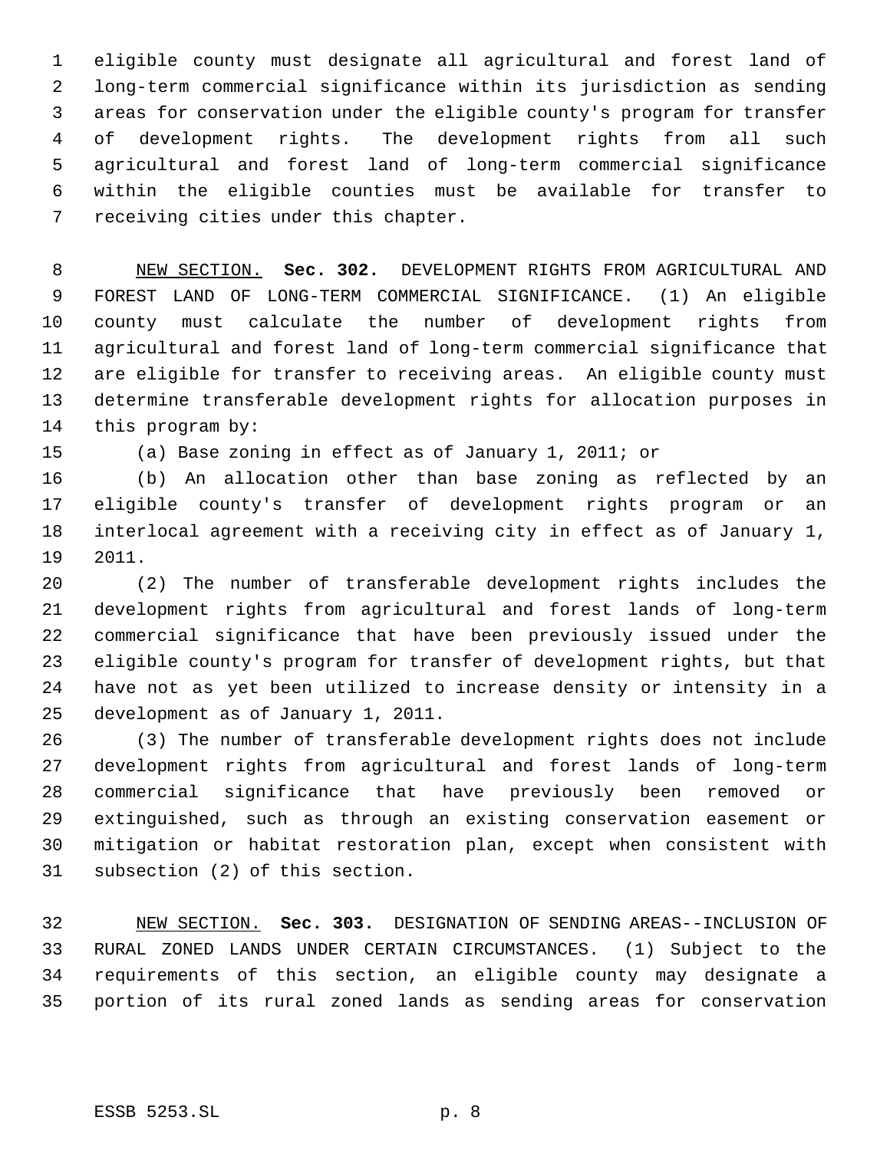eligible county must designate all agricultural and forest land of long-term commercial significance within its jurisdiction as sending areas for conservation under the eligible county's program for transfer of development rights. The development rights from all such agricultural and forest land of long-term commercial significance within the eligible counties must be available for transfer to receiving cities under this chapter.

 NEW SECTION. **Sec. 302.** DEVELOPMENT RIGHTS FROM AGRICULTURAL AND FOREST LAND OF LONG-TERM COMMERCIAL SIGNIFICANCE. (1) An eligible county must calculate the number of development rights from agricultural and forest land of long-term commercial significance that are eligible for transfer to receiving areas. An eligible county must determine transferable development rights for allocation purposes in this program by:

(a) Base zoning in effect as of January 1, 2011; or

 (b) An allocation other than base zoning as reflected by an eligible county's transfer of development rights program or an interlocal agreement with a receiving city in effect as of January 1, 2011.

 (2) The number of transferable development rights includes the development rights from agricultural and forest lands of long-term commercial significance that have been previously issued under the eligible county's program for transfer of development rights, but that have not as yet been utilized to increase density or intensity in a development as of January 1, 2011.

 (3) The number of transferable development rights does not include development rights from agricultural and forest lands of long-term commercial significance that have previously been removed or extinguished, such as through an existing conservation easement or mitigation or habitat restoration plan, except when consistent with subsection (2) of this section.

 NEW SECTION. **Sec. 303.** DESIGNATION OF SENDING AREAS--INCLUSION OF RURAL ZONED LANDS UNDER CERTAIN CIRCUMSTANCES. (1) Subject to the requirements of this section, an eligible county may designate a portion of its rural zoned lands as sending areas for conservation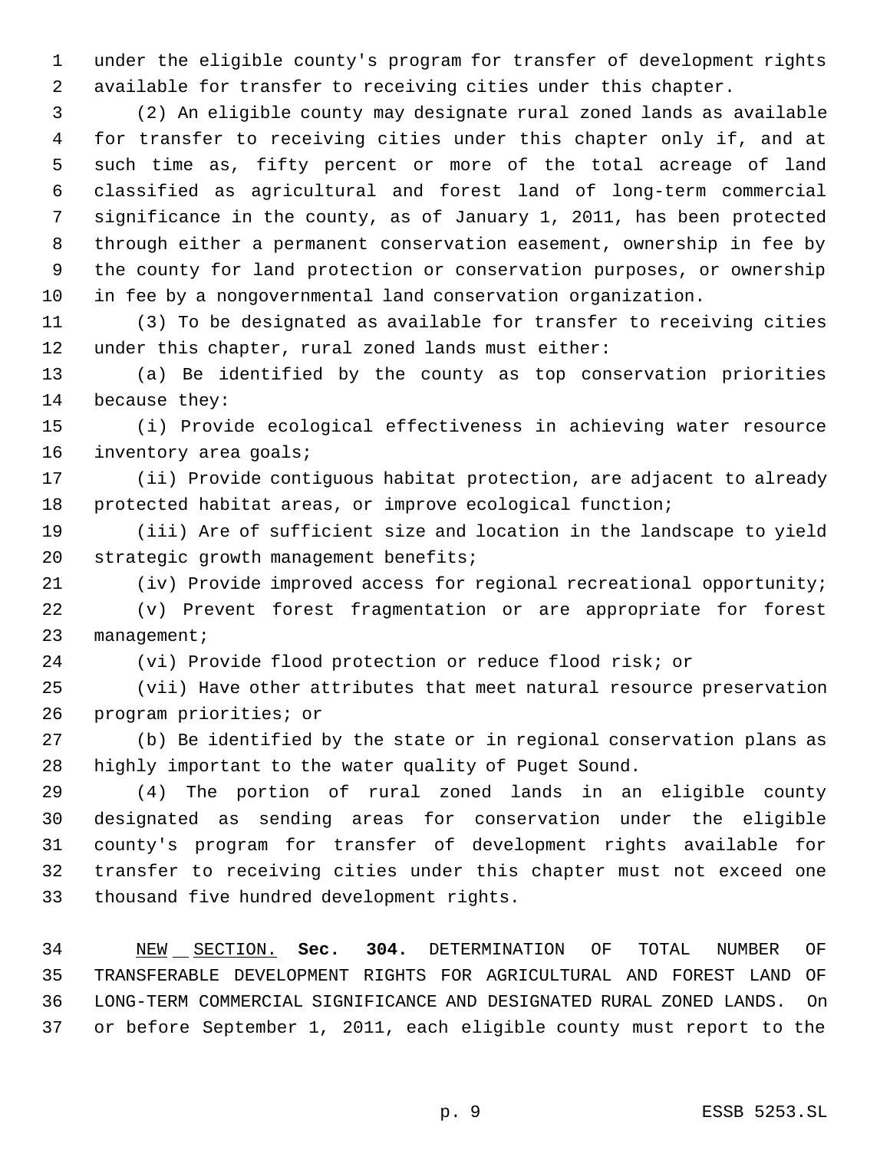under the eligible county's program for transfer of development rights available for transfer to receiving cities under this chapter.

 (2) An eligible county may designate rural zoned lands as available for transfer to receiving cities under this chapter only if, and at such time as, fifty percent or more of the total acreage of land classified as agricultural and forest land of long-term commercial significance in the county, as of January 1, 2011, has been protected through either a permanent conservation easement, ownership in fee by the county for land protection or conservation purposes, or ownership in fee by a nongovernmental land conservation organization.

 (3) To be designated as available for transfer to receiving cities under this chapter, rural zoned lands must either:

 (a) Be identified by the county as top conservation priorities because they:

 (i) Provide ecological effectiveness in achieving water resource 16 inventory area goals;

 (ii) Provide contiguous habitat protection, are adjacent to already protected habitat areas, or improve ecological function;

 (iii) Are of sufficient size and location in the landscape to yield strategic growth management benefits;

(iv) Provide improved access for regional recreational opportunity;

 (v) Prevent forest fragmentation or are appropriate for forest management;

(vi) Provide flood protection or reduce flood risk; or

 (vii) Have other attributes that meet natural resource preservation program priorities; or

 (b) Be identified by the state or in regional conservation plans as highly important to the water quality of Puget Sound.

 (4) The portion of rural zoned lands in an eligible county designated as sending areas for conservation under the eligible county's program for transfer of development rights available for transfer to receiving cities under this chapter must not exceed one thousand five hundred development rights.

 NEW SECTION. **Sec. 304.** DETERMINATION OF TOTAL NUMBER OF TRANSFERABLE DEVELOPMENT RIGHTS FOR AGRICULTURAL AND FOREST LAND OF LONG-TERM COMMERCIAL SIGNIFICANCE AND DESIGNATED RURAL ZONED LANDS. On or before September 1, 2011, each eligible county must report to the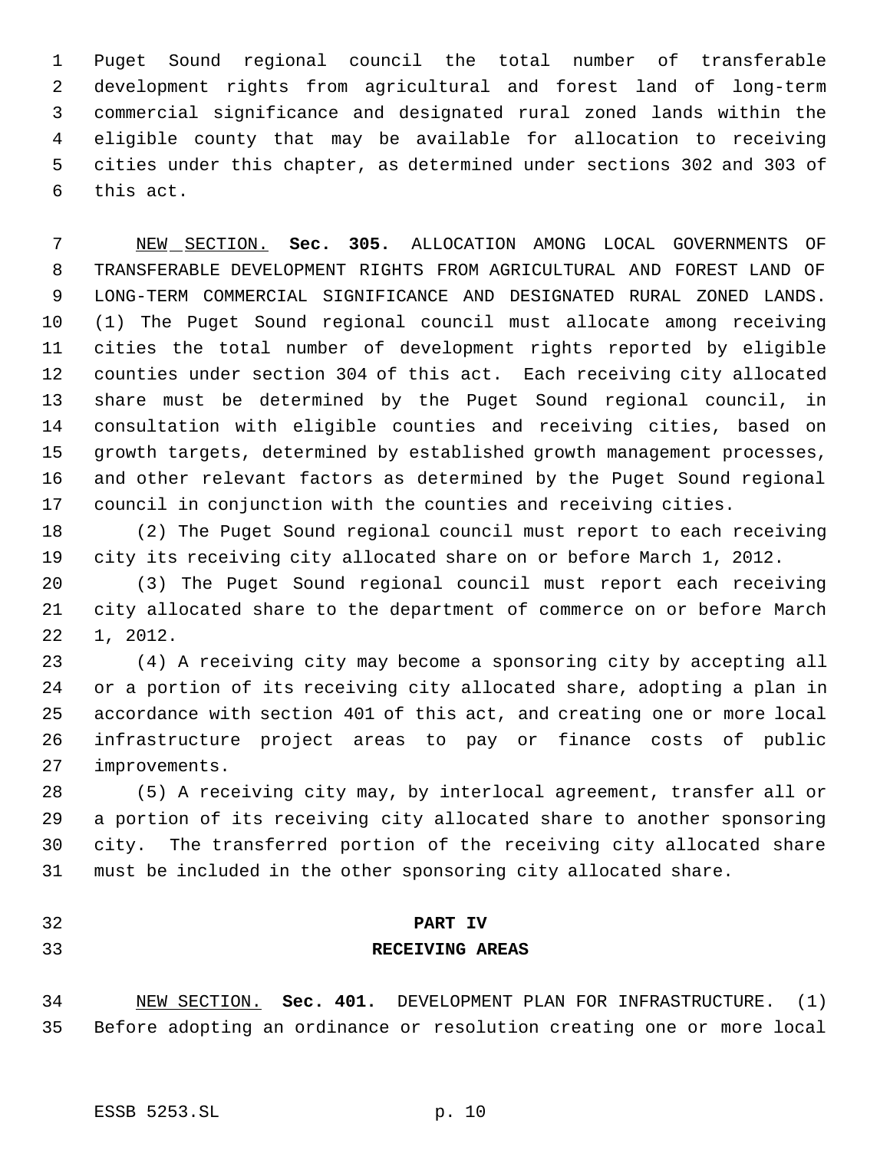Puget Sound regional council the total number of transferable development rights from agricultural and forest land of long-term commercial significance and designated rural zoned lands within the eligible county that may be available for allocation to receiving cities under this chapter, as determined under sections 302 and 303 of this act.

 NEW SECTION. **Sec. 305.** ALLOCATION AMONG LOCAL GOVERNMENTS OF TRANSFERABLE DEVELOPMENT RIGHTS FROM AGRICULTURAL AND FOREST LAND OF LONG-TERM COMMERCIAL SIGNIFICANCE AND DESIGNATED RURAL ZONED LANDS. (1) The Puget Sound regional council must allocate among receiving cities the total number of development rights reported by eligible counties under section 304 of this act. Each receiving city allocated share must be determined by the Puget Sound regional council, in consultation with eligible counties and receiving cities, based on growth targets, determined by established growth management processes, and other relevant factors as determined by the Puget Sound regional council in conjunction with the counties and receiving cities.

 (2) The Puget Sound regional council must report to each receiving city its receiving city allocated share on or before March 1, 2012.

 (3) The Puget Sound regional council must report each receiving city allocated share to the department of commerce on or before March 1, 2012.

 (4) A receiving city may become a sponsoring city by accepting all or a portion of its receiving city allocated share, adopting a plan in accordance with section 401 of this act, and creating one or more local infrastructure project areas to pay or finance costs of public improvements.

 (5) A receiving city may, by interlocal agreement, transfer all or a portion of its receiving city allocated share to another sponsoring city. The transferred portion of the receiving city allocated share must be included in the other sponsoring city allocated share.

- 
- 

# **PART IV RECEIVING AREAS**

 NEW SECTION. **Sec. 401.** DEVELOPMENT PLAN FOR INFRASTRUCTURE. (1) Before adopting an ordinance or resolution creating one or more local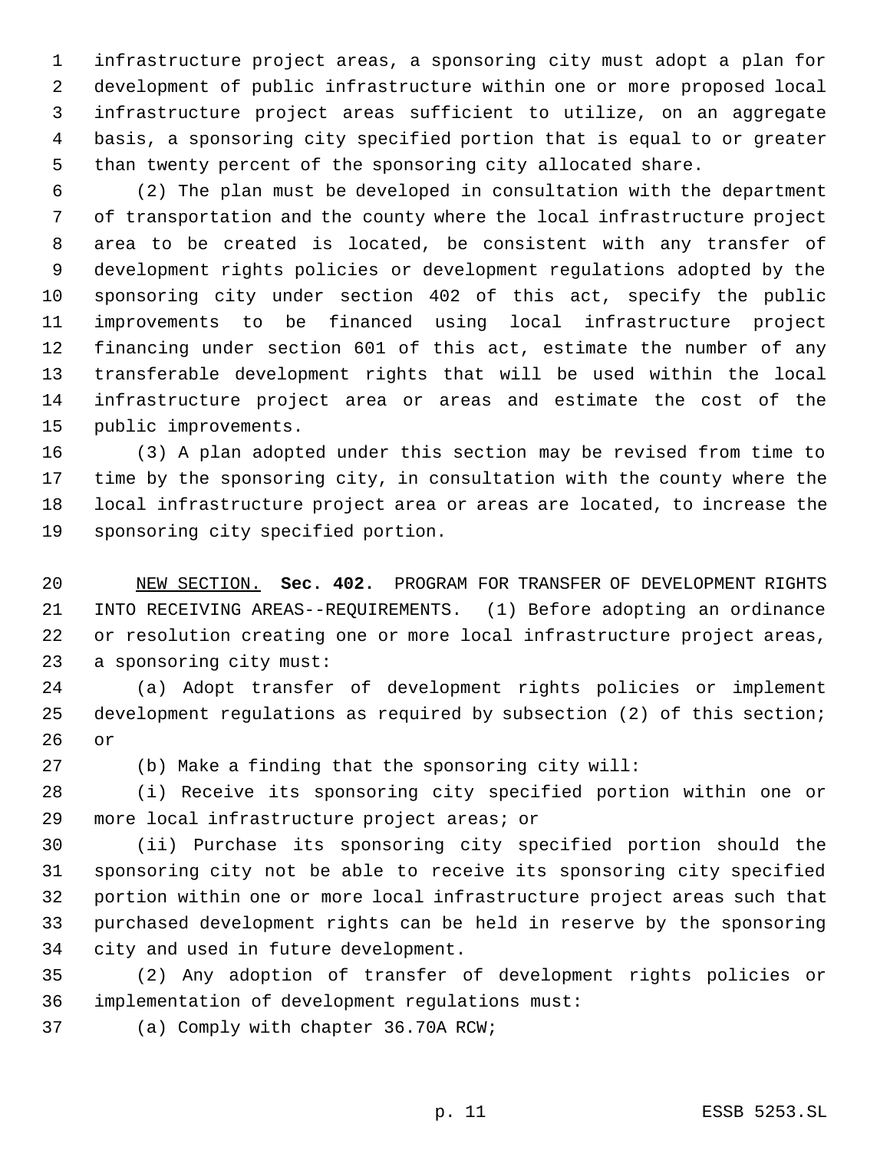infrastructure project areas, a sponsoring city must adopt a plan for development of public infrastructure within one or more proposed local infrastructure project areas sufficient to utilize, on an aggregate basis, a sponsoring city specified portion that is equal to or greater than twenty percent of the sponsoring city allocated share.

 (2) The plan must be developed in consultation with the department of transportation and the county where the local infrastructure project area to be created is located, be consistent with any transfer of development rights policies or development regulations adopted by the sponsoring city under section 402 of this act, specify the public improvements to be financed using local infrastructure project financing under section 601 of this act, estimate the number of any transferable development rights that will be used within the local infrastructure project area or areas and estimate the cost of the public improvements.

 (3) A plan adopted under this section may be revised from time to time by the sponsoring city, in consultation with the county where the local infrastructure project area or areas are located, to increase the sponsoring city specified portion.

 NEW SECTION. **Sec. 402.** PROGRAM FOR TRANSFER OF DEVELOPMENT RIGHTS INTO RECEIVING AREAS--REQUIREMENTS. (1) Before adopting an ordinance or resolution creating one or more local infrastructure project areas, a sponsoring city must:

 (a) Adopt transfer of development rights policies or implement development regulations as required by subsection (2) of this section; or

(b) Make a finding that the sponsoring city will:

 (i) Receive its sponsoring city specified portion within one or more local infrastructure project areas; or

 (ii) Purchase its sponsoring city specified portion should the sponsoring city not be able to receive its sponsoring city specified portion within one or more local infrastructure project areas such that purchased development rights can be held in reserve by the sponsoring city and used in future development.

 (2) Any adoption of transfer of development rights policies or implementation of development regulations must:

(a) Comply with chapter 36.70A RCW;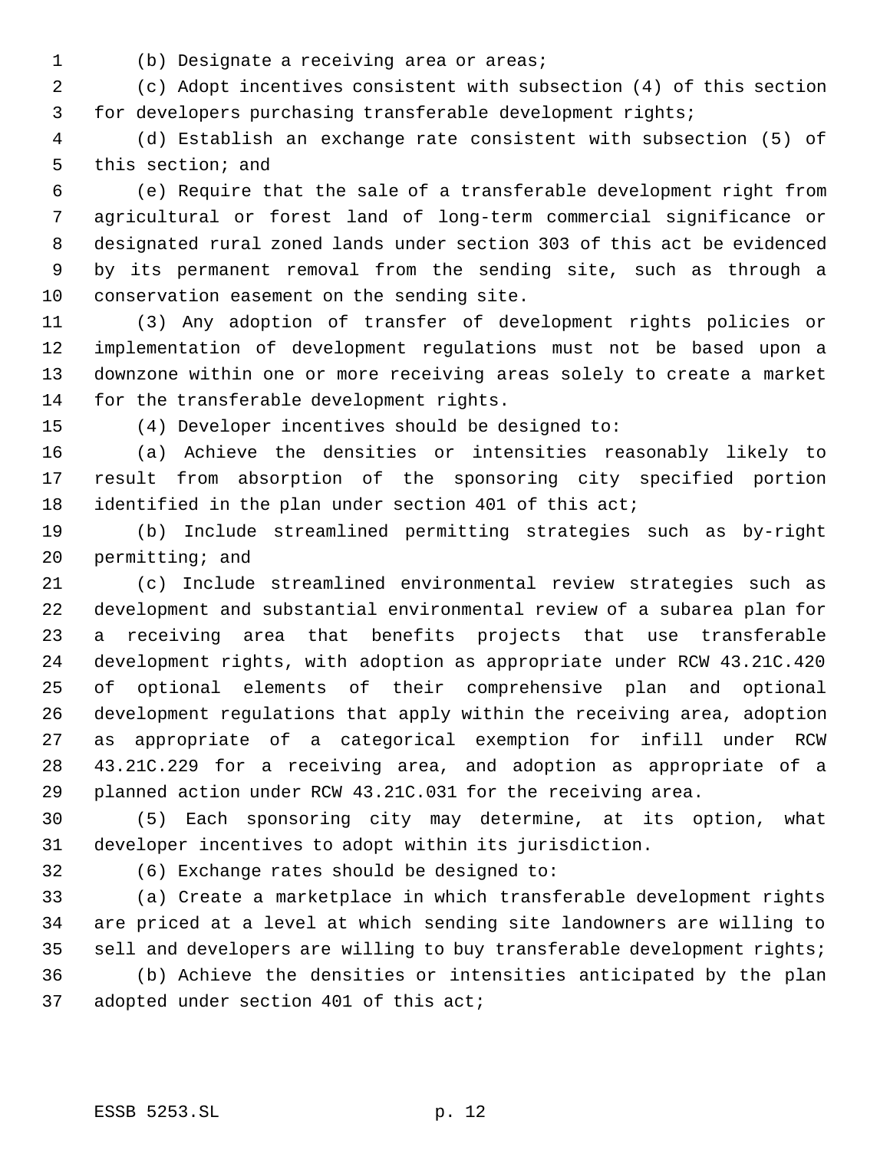- 
- (b) Designate a receiving area or areas;

 (c) Adopt incentives consistent with subsection (4) of this section for developers purchasing transferable development rights;

 (d) Establish an exchange rate consistent with subsection (5) of this section; and

 (e) Require that the sale of a transferable development right from agricultural or forest land of long-term commercial significance or designated rural zoned lands under section 303 of this act be evidenced by its permanent removal from the sending site, such as through a conservation easement on the sending site.

 (3) Any adoption of transfer of development rights policies or implementation of development regulations must not be based upon a downzone within one or more receiving areas solely to create a market for the transferable development rights.

(4) Developer incentives should be designed to:

 (a) Achieve the densities or intensities reasonably likely to result from absorption of the sponsoring city specified portion 18 identified in the plan under section 401 of this act;

 (b) Include streamlined permitting strategies such as by-right permitting; and

 (c) Include streamlined environmental review strategies such as development and substantial environmental review of a subarea plan for a receiving area that benefits projects that use transferable development rights, with adoption as appropriate under RCW 43.21C.420 of optional elements of their comprehensive plan and optional development regulations that apply within the receiving area, adoption as appropriate of a categorical exemption for infill under RCW 43.21C.229 for a receiving area, and adoption as appropriate of a planned action under RCW 43.21C.031 for the receiving area.

 (5) Each sponsoring city may determine, at its option, what developer incentives to adopt within its jurisdiction.

(6) Exchange rates should be designed to:

 (a) Create a marketplace in which transferable development rights are priced at a level at which sending site landowners are willing to 35 sell and developers are willing to buy transferable development rights;

 (b) Achieve the densities or intensities anticipated by the plan adopted under section 401 of this act;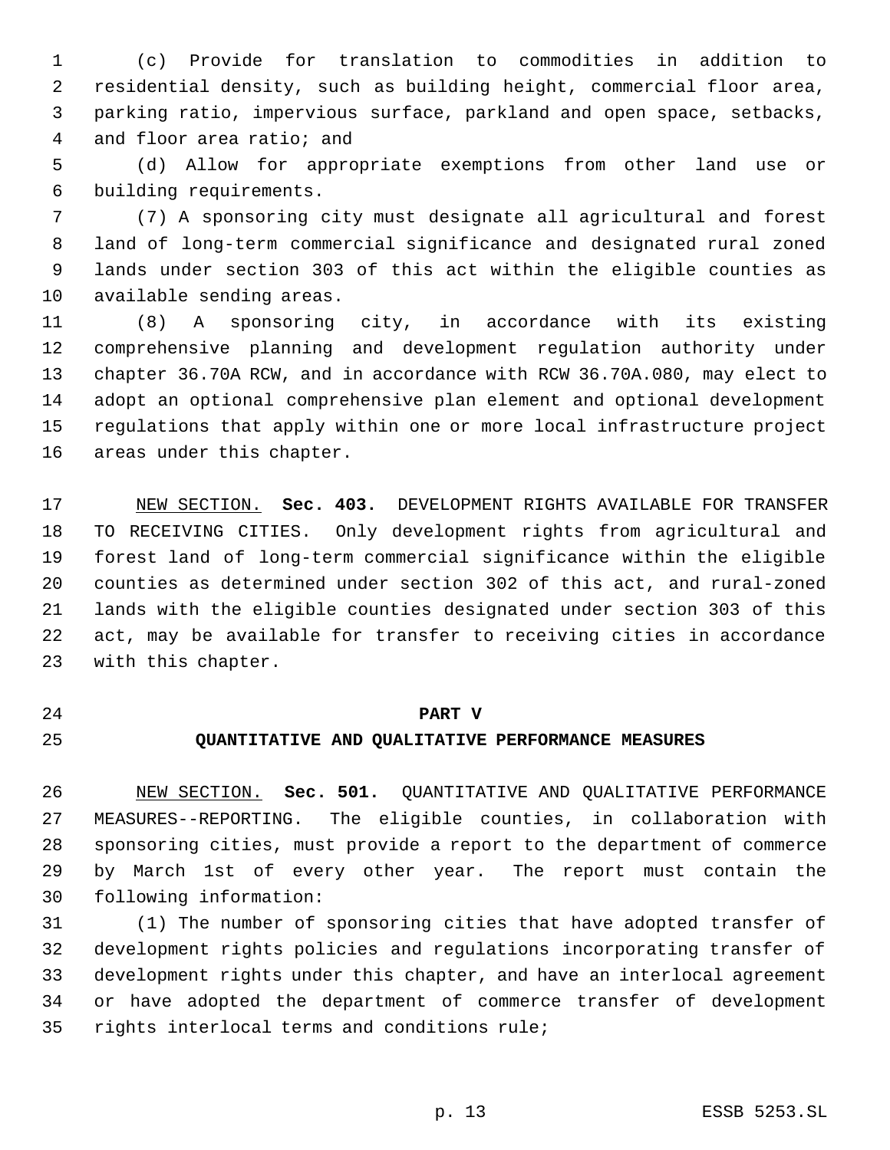(c) Provide for translation to commodities in addition to residential density, such as building height, commercial floor area, parking ratio, impervious surface, parkland and open space, setbacks, and floor area ratio; and

 (d) Allow for appropriate exemptions from other land use or building requirements.

 (7) A sponsoring city must designate all agricultural and forest land of long-term commercial significance and designated rural zoned lands under section 303 of this act within the eligible counties as available sending areas.

 (8) A sponsoring city, in accordance with its existing comprehensive planning and development regulation authority under chapter 36.70A RCW, and in accordance with RCW 36.70A.080, may elect to adopt an optional comprehensive plan element and optional development regulations that apply within one or more local infrastructure project areas under this chapter.

 NEW SECTION. **Sec. 403.** DEVELOPMENT RIGHTS AVAILABLE FOR TRANSFER TO RECEIVING CITIES. Only development rights from agricultural and forest land of long-term commercial significance within the eligible counties as determined under section 302 of this act, and rural-zoned lands with the eligible counties designated under section 303 of this act, may be available for transfer to receiving cities in accordance with this chapter.

# **PART V**

# **QUANTITATIVE AND QUALITATIVE PERFORMANCE MEASURES**

 NEW SECTION. **Sec. 501.** QUANTITATIVE AND QUALITATIVE PERFORMANCE MEASURES--REPORTING. The eligible counties, in collaboration with sponsoring cities, must provide a report to the department of commerce by March 1st of every other year. The report must contain the following information:

 (1) The number of sponsoring cities that have adopted transfer of development rights policies and regulations incorporating transfer of development rights under this chapter, and have an interlocal agreement or have adopted the department of commerce transfer of development rights interlocal terms and conditions rule;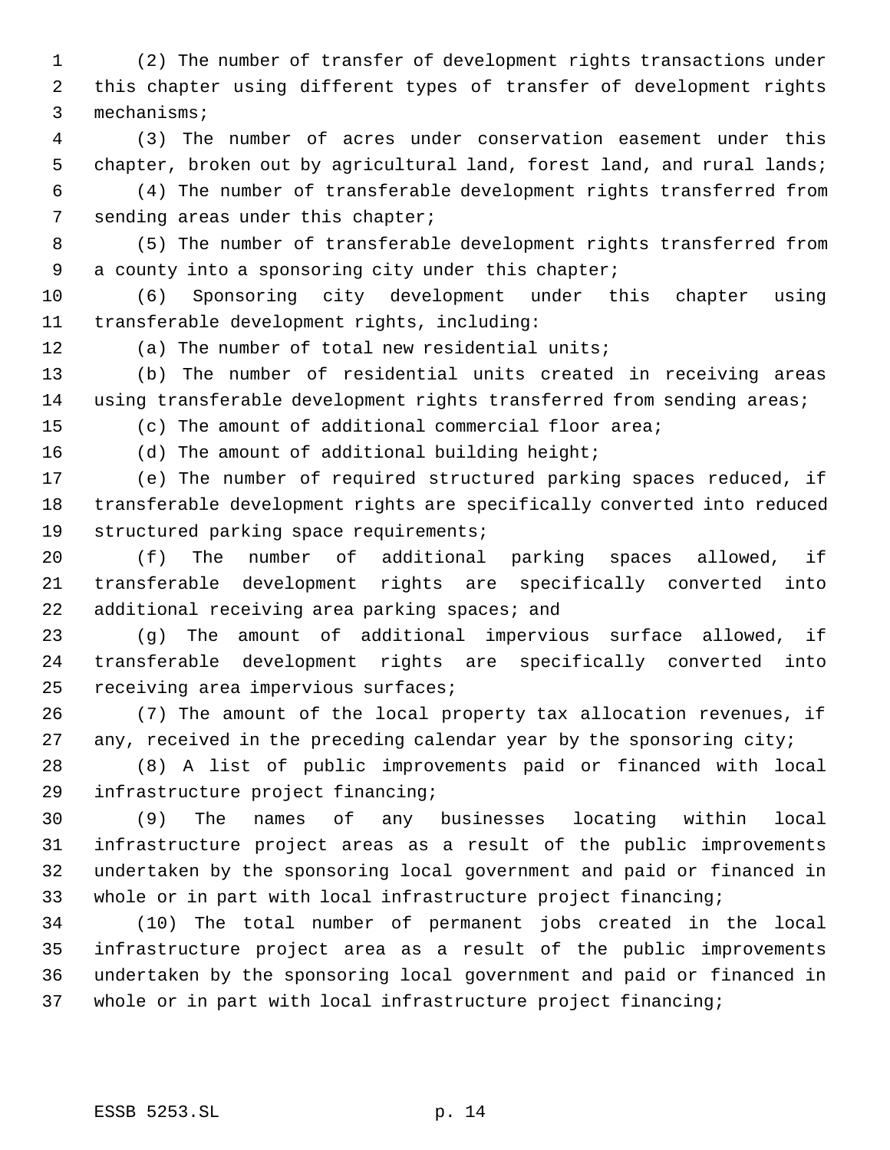(2) The number of transfer of development rights transactions under this chapter using different types of transfer of development rights mechanisms;

 (3) The number of acres under conservation easement under this chapter, broken out by agricultural land, forest land, and rural lands;

 (4) The number of transferable development rights transferred from 7 sending areas under this chapter;

 (5) The number of transferable development rights transferred from a county into a sponsoring city under this chapter;

 (6) Sponsoring city development under this chapter using transferable development rights, including:

(a) The number of total new residential units;

 (b) The number of residential units created in receiving areas 14 using transferable development rights transferred from sending areas;

(c) The amount of additional commercial floor area;

(d) The amount of additional building height;

 (e) The number of required structured parking spaces reduced, if transferable development rights are specifically converted into reduced structured parking space requirements;

 (f) The number of additional parking spaces allowed, if transferable development rights are specifically converted into 22 additional receiving area parking spaces; and

 (g) The amount of additional impervious surface allowed, if transferable development rights are specifically converted into receiving area impervious surfaces;

 (7) The amount of the local property tax allocation revenues, if 27 any, received in the preceding calendar year by the sponsoring city;

 (8) A list of public improvements paid or financed with local infrastructure project financing;

 (9) The names of any businesses locating within local infrastructure project areas as a result of the public improvements undertaken by the sponsoring local government and paid or financed in whole or in part with local infrastructure project financing;

 (10) The total number of permanent jobs created in the local infrastructure project area as a result of the public improvements undertaken by the sponsoring local government and paid or financed in whole or in part with local infrastructure project financing;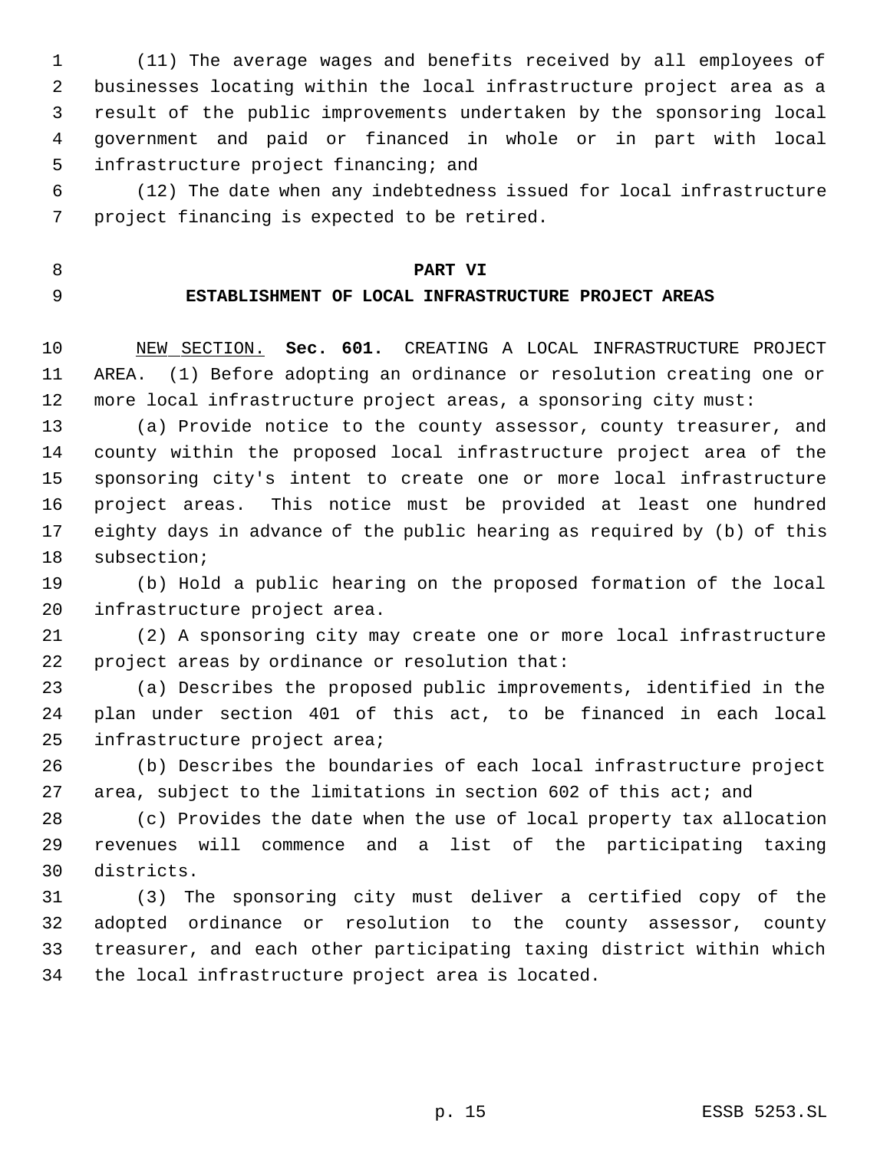(11) The average wages and benefits received by all employees of businesses locating within the local infrastructure project area as a result of the public improvements undertaken by the sponsoring local government and paid or financed in whole or in part with local infrastructure project financing; and

 (12) The date when any indebtedness issued for local infrastructure project financing is expected to be retired.

## **PART VI**

# **ESTABLISHMENT OF LOCAL INFRASTRUCTURE PROJECT AREAS**

 NEW SECTION. **Sec. 601.** CREATING A LOCAL INFRASTRUCTURE PROJECT AREA. (1) Before adopting an ordinance or resolution creating one or more local infrastructure project areas, a sponsoring city must:

 (a) Provide notice to the county assessor, county treasurer, and county within the proposed local infrastructure project area of the sponsoring city's intent to create one or more local infrastructure project areas. This notice must be provided at least one hundred eighty days in advance of the public hearing as required by (b) of this subsection;

 (b) Hold a public hearing on the proposed formation of the local infrastructure project area.

 (2) A sponsoring city may create one or more local infrastructure project areas by ordinance or resolution that:

 (a) Describes the proposed public improvements, identified in the plan under section 401 of this act, to be financed in each local infrastructure project area;

 (b) Describes the boundaries of each local infrastructure project area, subject to the limitations in section 602 of this act; and

 (c) Provides the date when the use of local property tax allocation revenues will commence and a list of the participating taxing districts.

 (3) The sponsoring city must deliver a certified copy of the adopted ordinance or resolution to the county assessor, county treasurer, and each other participating taxing district within which the local infrastructure project area is located.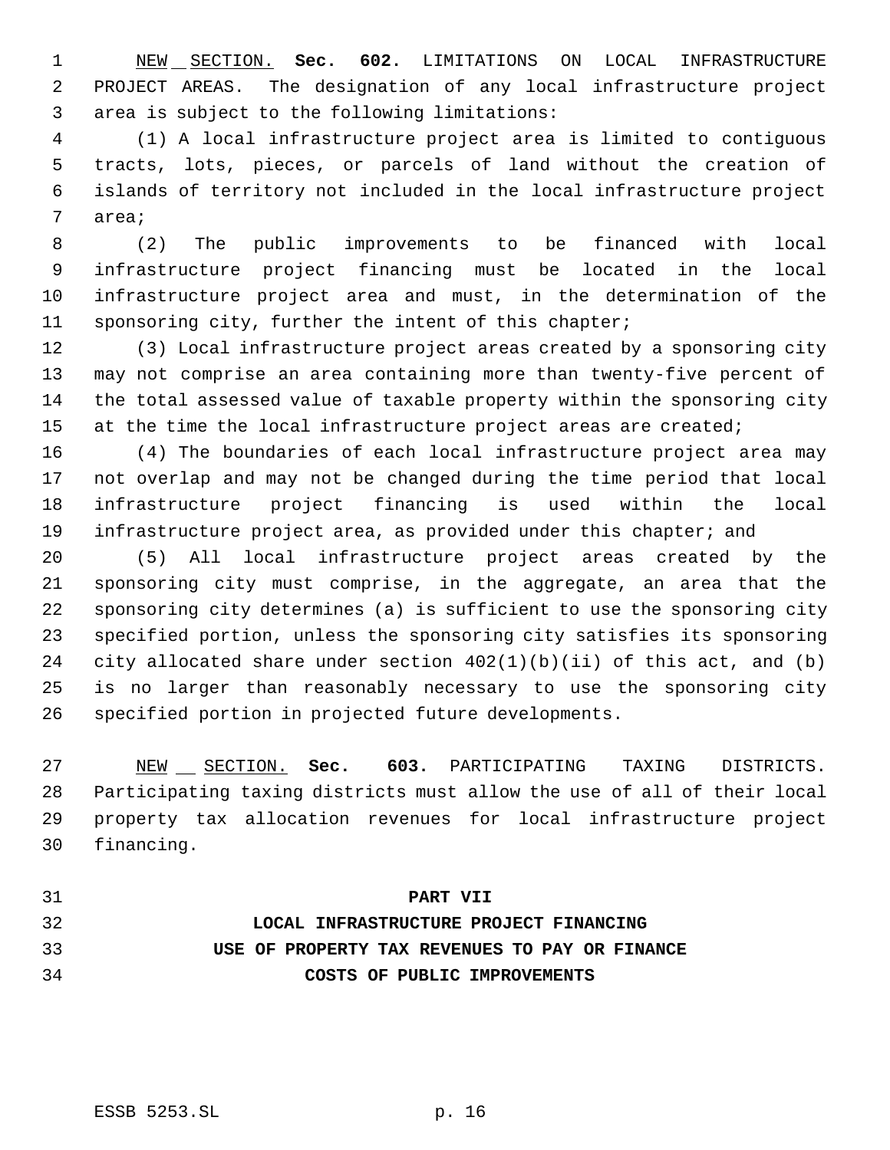NEW SECTION. **Sec. 602.** LIMITATIONS ON LOCAL INFRASTRUCTURE PROJECT AREAS. The designation of any local infrastructure project area is subject to the following limitations:

 (1) A local infrastructure project area is limited to contiguous tracts, lots, pieces, or parcels of land without the creation of islands of territory not included in the local infrastructure project area;

 (2) The public improvements to be financed with local infrastructure project financing must be located in the local infrastructure project area and must, in the determination of the sponsoring city, further the intent of this chapter;

 (3) Local infrastructure project areas created by a sponsoring city may not comprise an area containing more than twenty-five percent of the total assessed value of taxable property within the sponsoring city 15 at the time the local infrastructure project areas are created;

 (4) The boundaries of each local infrastructure project area may not overlap and may not be changed during the time period that local infrastructure project financing is used within the local 19 infrastructure project area, as provided under this chapter; and

 (5) All local infrastructure project areas created by the sponsoring city must comprise, in the aggregate, an area that the sponsoring city determines (a) is sufficient to use the sponsoring city specified portion, unless the sponsoring city satisfies its sponsoring city allocated share under section 402(1)(b)(ii) of this act, and (b) is no larger than reasonably necessary to use the sponsoring city specified portion in projected future developments.

 NEW SECTION. **Sec. 603.** PARTICIPATING TAXING DISTRICTS. Participating taxing districts must allow the use of all of their local property tax allocation revenues for local infrastructure project financing.

## **PART VII**

 **LOCAL INFRASTRUCTURE PROJECT FINANCING USE OF PROPERTY TAX REVENUES TO PAY OR FINANCE COSTS OF PUBLIC IMPROVEMENTS**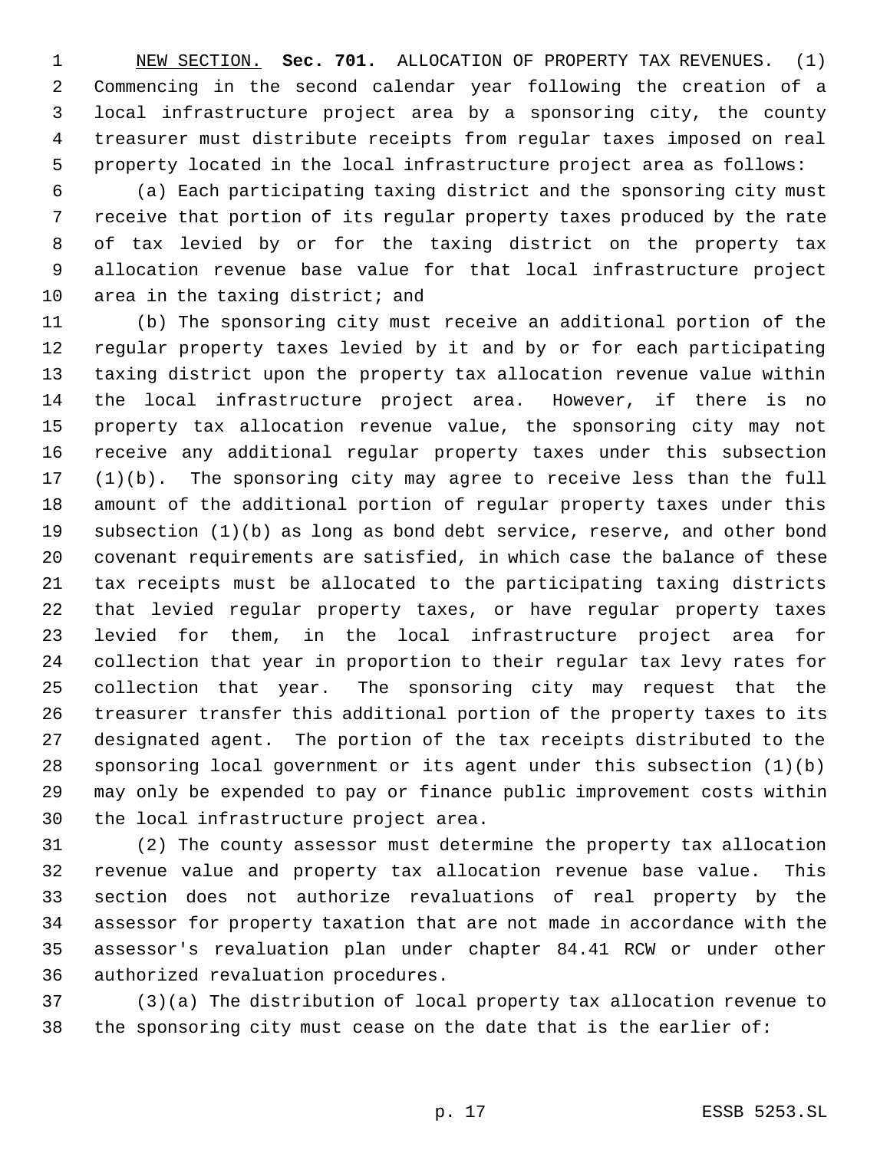NEW SECTION. **Sec. 701.** ALLOCATION OF PROPERTY TAX REVENUES. (1) Commencing in the second calendar year following the creation of a local infrastructure project area by a sponsoring city, the county treasurer must distribute receipts from regular taxes imposed on real property located in the local infrastructure project area as follows:

 (a) Each participating taxing district and the sponsoring city must receive that portion of its regular property taxes produced by the rate of tax levied by or for the taxing district on the property tax allocation revenue base value for that local infrastructure project area in the taxing district; and

 (b) The sponsoring city must receive an additional portion of the regular property taxes levied by it and by or for each participating taxing district upon the property tax allocation revenue value within the local infrastructure project area. However, if there is no property tax allocation revenue value, the sponsoring city may not receive any additional regular property taxes under this subsection (1)(b). The sponsoring city may agree to receive less than the full amount of the additional portion of regular property taxes under this subsection (1)(b) as long as bond debt service, reserve, and other bond covenant requirements are satisfied, in which case the balance of these tax receipts must be allocated to the participating taxing districts that levied regular property taxes, or have regular property taxes levied for them, in the local infrastructure project area for collection that year in proportion to their regular tax levy rates for collection that year. The sponsoring city may request that the treasurer transfer this additional portion of the property taxes to its designated agent. The portion of the tax receipts distributed to the sponsoring local government or its agent under this subsection (1)(b) may only be expended to pay or finance public improvement costs within the local infrastructure project area.

 (2) The county assessor must determine the property tax allocation revenue value and property tax allocation revenue base value. This section does not authorize revaluations of real property by the assessor for property taxation that are not made in accordance with the assessor's revaluation plan under chapter 84.41 RCW or under other authorized revaluation procedures.

 (3)(a) The distribution of local property tax allocation revenue to the sponsoring city must cease on the date that is the earlier of: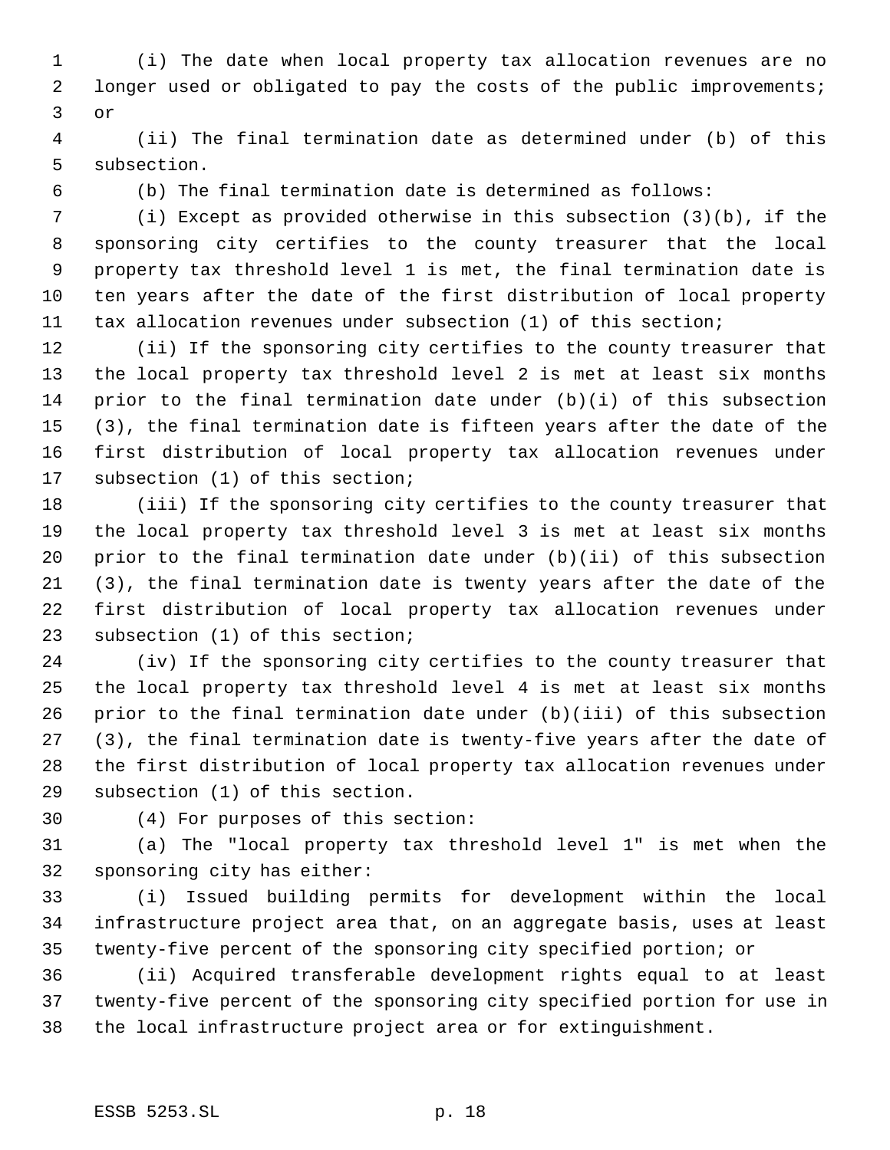(i) The date when local property tax allocation revenues are no longer used or obligated to pay the costs of the public improvements; or

 (ii) The final termination date as determined under (b) of this subsection.

(b) The final termination date is determined as follows:

 (i) Except as provided otherwise in this subsection (3)(b), if the sponsoring city certifies to the county treasurer that the local property tax threshold level 1 is met, the final termination date is ten years after the date of the first distribution of local property tax allocation revenues under subsection (1) of this section;

 (ii) If the sponsoring city certifies to the county treasurer that the local property tax threshold level 2 is met at least six months prior to the final termination date under (b)(i) of this subsection (3), the final termination date is fifteen years after the date of the first distribution of local property tax allocation revenues under subsection (1) of this section;

 (iii) If the sponsoring city certifies to the county treasurer that the local property tax threshold level 3 is met at least six months prior to the final termination date under (b)(ii) of this subsection (3), the final termination date is twenty years after the date of the first distribution of local property tax allocation revenues under subsection (1) of this section;

 (iv) If the sponsoring city certifies to the county treasurer that the local property tax threshold level 4 is met at least six months prior to the final termination date under (b)(iii) of this subsection (3), the final termination date is twenty-five years after the date of the first distribution of local property tax allocation revenues under subsection (1) of this section.

(4) For purposes of this section:

 (a) The "local property tax threshold level 1" is met when the sponsoring city has either:

 (i) Issued building permits for development within the local infrastructure project area that, on an aggregate basis, uses at least twenty-five percent of the sponsoring city specified portion; or

 (ii) Acquired transferable development rights equal to at least twenty-five percent of the sponsoring city specified portion for use in the local infrastructure project area or for extinguishment.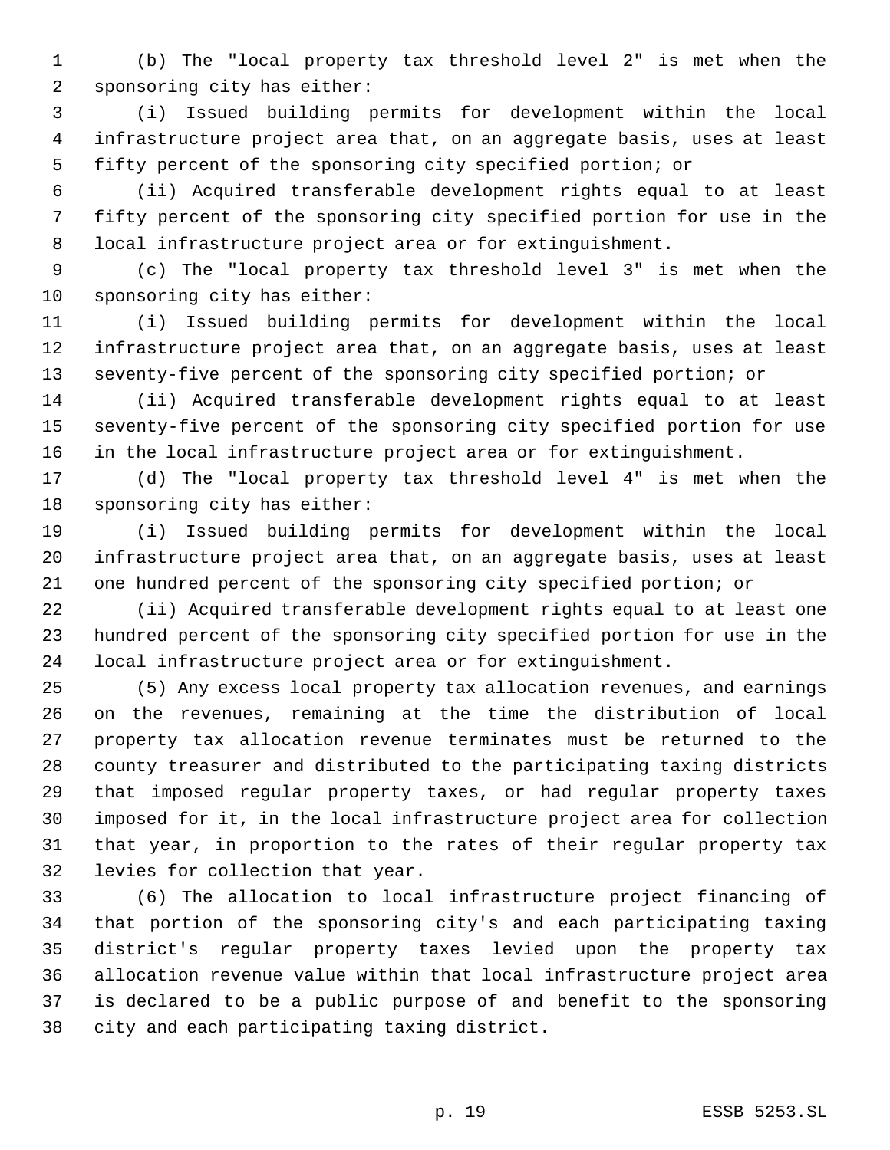(b) The "local property tax threshold level 2" is met when the sponsoring city has either:

 (i) Issued building permits for development within the local infrastructure project area that, on an aggregate basis, uses at least fifty percent of the sponsoring city specified portion; or

 (ii) Acquired transferable development rights equal to at least fifty percent of the sponsoring city specified portion for use in the local infrastructure project area or for extinguishment.

 (c) The "local property tax threshold level 3" is met when the sponsoring city has either:

 (i) Issued building permits for development within the local infrastructure project area that, on an aggregate basis, uses at least seventy-five percent of the sponsoring city specified portion; or

 (ii) Acquired transferable development rights equal to at least seventy-five percent of the sponsoring city specified portion for use in the local infrastructure project area or for extinguishment.

 (d) The "local property tax threshold level 4" is met when the sponsoring city has either:

 (i) Issued building permits for development within the local infrastructure project area that, on an aggregate basis, uses at least one hundred percent of the sponsoring city specified portion; or

 (ii) Acquired transferable development rights equal to at least one hundred percent of the sponsoring city specified portion for use in the local infrastructure project area or for extinguishment.

 (5) Any excess local property tax allocation revenues, and earnings on the revenues, remaining at the time the distribution of local property tax allocation revenue terminates must be returned to the county treasurer and distributed to the participating taxing districts that imposed regular property taxes, or had regular property taxes imposed for it, in the local infrastructure project area for collection that year, in proportion to the rates of their regular property tax levies for collection that year.

 (6) The allocation to local infrastructure project financing of that portion of the sponsoring city's and each participating taxing district's regular property taxes levied upon the property tax allocation revenue value within that local infrastructure project area is declared to be a public purpose of and benefit to the sponsoring city and each participating taxing district.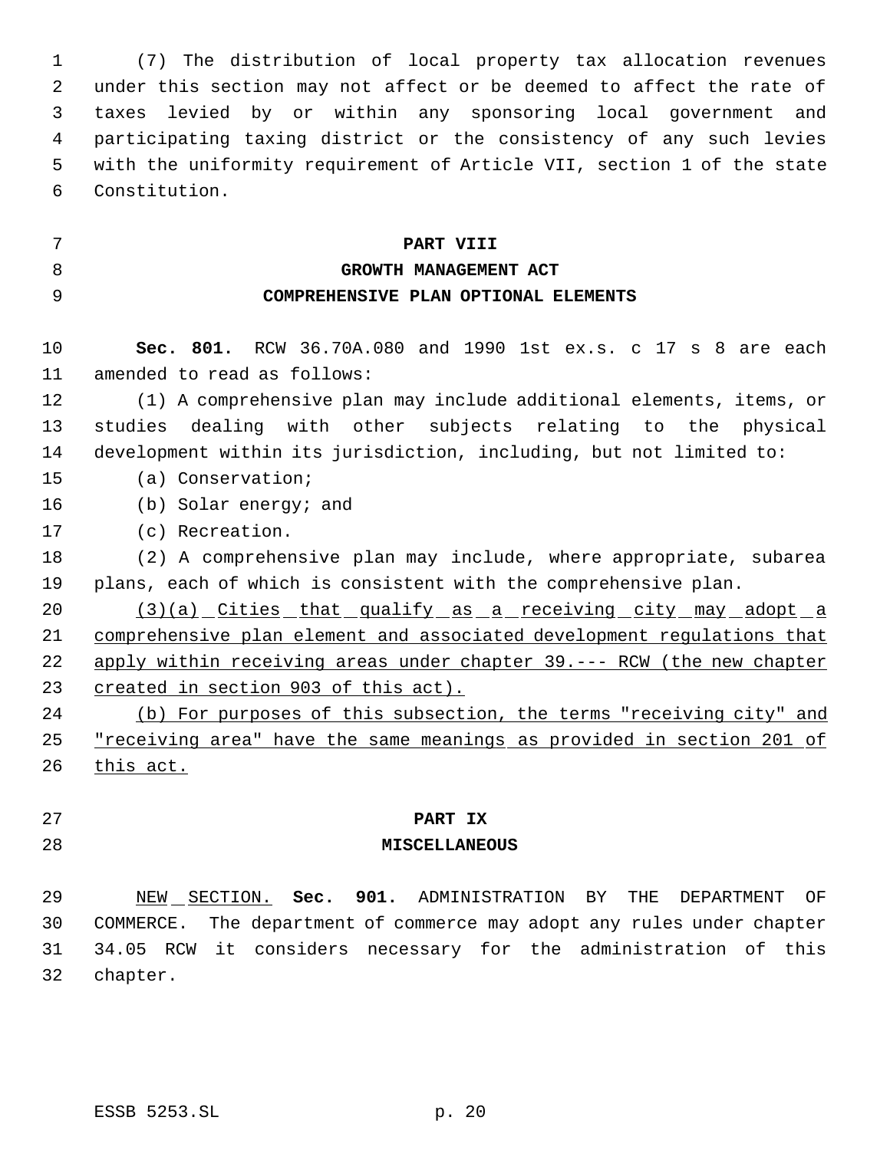(7) The distribution of local property tax allocation revenues under this section may not affect or be deemed to affect the rate of taxes levied by or within any sponsoring local government and participating taxing district or the consistency of any such levies with the uniformity requirement of Article VII, section 1 of the state Constitution.

**PART VIII**

| v<br>I |
|--------|

# **GROWTH MANAGEMENT ACT COMPREHENSIVE PLAN OPTIONAL ELEMENTS**

 **Sec. 801.** RCW 36.70A.080 and 1990 1st ex.s. c 17 s 8 are each amended to read as follows:

 (1) A comprehensive plan may include additional elements, items, or studies dealing with other subjects relating to the physical development within its jurisdiction, including, but not limited to:

(a) Conservation;

- (b) Solar energy; and
- (c) Recreation.

 (2) A comprehensive plan may include, where appropriate, subarea plans, each of which is consistent with the comprehensive plan.

20 (3)(a) Cities that qualify as a receiving city may adopt a comprehensive plan element and associated development regulations that apply within receiving areas under chapter 39.--- RCW (the new chapter created in section 903 of this act).

 (b) For purposes of this subsection, the terms "receiving city" and 25 "receiving area" have the same meanings as provided in section 201 of 26 this act.

# **PART IX**

## **MISCELLANEOUS**

 NEW SECTION. **Sec. 901.** ADMINISTRATION BY THE DEPARTMENT OF COMMERCE. The department of commerce may adopt any rules under chapter 34.05 RCW it considers necessary for the administration of this chapter.